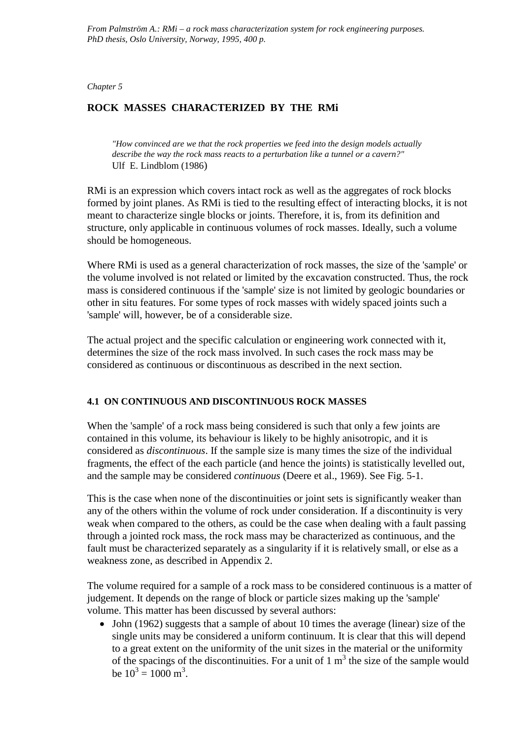*Chapter 5*

# **ROCK MASSES CHARACTERIZED BY THE RMi**

*"How convinced are we that the rock properties we feed into the design models actually describe the way the rock mass reacts to a perturbation like a tunnel or a cavern?"*  Ulf E. Lindblom (1986)

RMi is an expression which covers intact rock as well as the aggregates of rock blocks formed by joint planes. As RMi is tied to the resulting effect of interacting blocks, it is not meant to characterize single blocks or joints. Therefore, it is, from its definition and structure, only applicable in continuous volumes of rock masses. Ideally, such a volume should be homogeneous.

Where RMi is used as a general characterization of rock masses, the size of the 'sample' or the volume involved is not related or limited by the excavation constructed. Thus, the rock mass is considered continuous if the 'sample' size is not limited by geologic boundaries or other in situ features. For some types of rock masses with widely spaced joints such a 'sample' will, however, be of a considerable size.

The actual project and the specific calculation or engineering work connected with it, determines the size of the rock mass involved. In such cases the rock mass may be considered as continuous or discontinuous as described in the next section.

# **4.1 ON CONTINUOUS AND DISCONTINUOUS ROCK MASSES**

When the 'sample' of a rock mass being considered is such that only a few joints are contained in this volume, its behaviour is likely to be highly anisotropic, and it is considered as *discontinuous*. If the sample size is many times the size of the individual fragments, the effect of the each particle (and hence the joints) is statistically levelled out, and the sample may be considered *continuous* (Deere et al., 1969). See Fig. 5-1.

This is the case when none of the discontinuities or joint sets is significantly weaker than any of the others within the volume of rock under consideration. If a discontinuity is very weak when compared to the others, as could be the case when dealing with a fault passing through a jointed rock mass, the rock mass may be characterized as continuous, and the fault must be characterized separately as a singularity if it is relatively small, or else as a weakness zone, as described in Appendix 2.

The volume required for a sample of a rock mass to be considered continuous is a matter of judgement. It depends on the range of block or particle sizes making up the 'sample' volume. This matter has been discussed by several authors:

• John (1962) suggests that a sample of about 10 times the average (linear) size of the single units may be considered a uniform continuum. It is clear that this will depend to a great extent on the uniformity of the unit sizes in the material or the uniformity of the spacings of the discontinuities. For a unit of  $1 \text{ m}^3$  the size of the sample would be  $10^3 = 1000$  m<sup>3</sup>.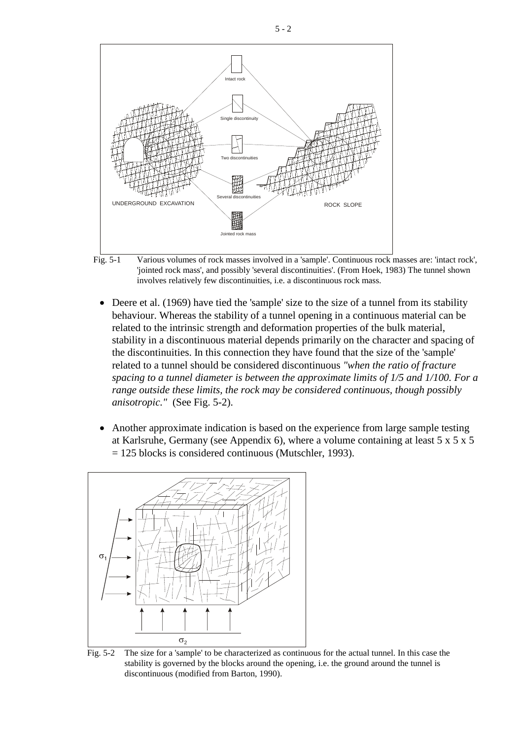

Fig. 5-1 Various volumes of rock masses involved in a 'sample'. Continuous rock masses are: 'intact rock', 'jointed rock mass', and possibly 'several discontinuities'. (From Hoek, 1983) The tunnel shown involves relatively few discontinuities, i.e. a discontinuous rock mass.

- Deere et al. (1969) have tied the 'sample' size to the size of a tunnel from its stability behaviour. Whereas the stability of a tunnel opening in a continuous material can be related to the intrinsic strength and deformation properties of the bulk material, stability in a discontinuous material depends primarily on the character and spacing of the discontinuities. In this connection they have found that the size of the 'sample' related to a tunnel should be considered discontinuous *"when the ratio of fracture spacing to a tunnel diameter is between the approximate limits of 1/5 and 1/100. For a range outside these limits, the rock may be considered continuous, though possibly anisotropic."* (See Fig. 5-2).
- Another approximate indication is based on the experience from large sample testing at Karlsruhe, Germany (see Appendix 6), where a volume containing at least 5 x 5 x 5 = 125 blocks is considered continuous (Mutschler, 1993).



Fig. 5-2 The size for a 'sample' to be characterized as continuous for the actual tunnel. In this case the stability is governed by the blocks around the opening, i.e. the ground around the tunnel is discontinuous (modified from Barton, 1990).

5 - 2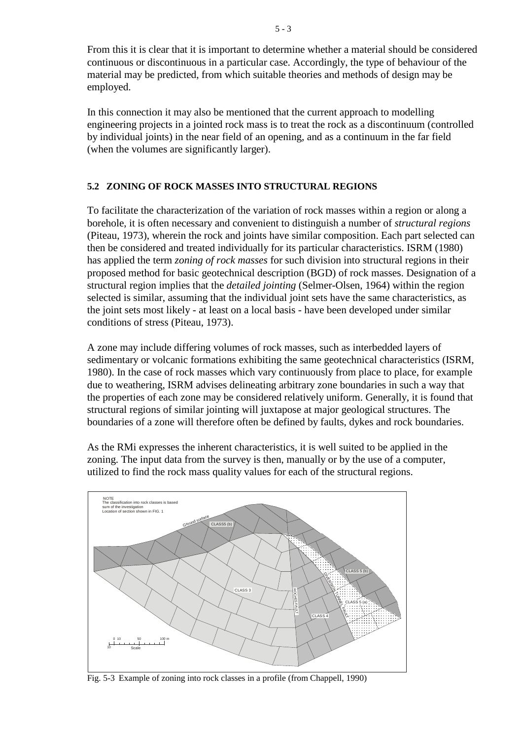From this it is clear that it is important to determine whether a material should be considered continuous or discontinuous in a particular case. Accordingly, the type of behaviour of the material may be predicted, from which suitable theories and methods of design may be employed.

In this connection it may also be mentioned that the current approach to modelling engineering projects in a jointed rock mass is to treat the rock as a discontinuum (controlled by individual joints) in the near field of an opening, and as a continuum in the far field (when the volumes are significantly larger).

# **5.2 ZONING OF ROCK MASSES INTO STRUCTURAL REGIONS**

To facilitate the characterization of the variation of rock masses within a region or along a borehole, it is often necessary and convenient to distinguish a number of *structural regions* (Piteau, 1973), wherein the rock and joints have similar composition. Each part selected can then be considered and treated individually for its particular characteristics. ISRM (1980) has applied the term *zoning of rock masses* for such division into structural regions in their proposed method for basic geotechnical description (BGD) of rock masses. Designation of a structural region implies that the *detailed jointing* (Selmer-Olsen, 1964) within the region selected is similar, assuming that the individual joint sets have the same characteristics, as the joint sets most likely - at least on a local basis - have been developed under similar conditions of stress (Piteau, 1973).

A zone may include differing volumes of rock masses, such as interbedded layers of sedimentary or volcanic formations exhibiting the same geotechnical characteristics (ISRM, 1980). In the case of rock masses which vary continuously from place to place, for example due to weathering, ISRM advises delineating arbitrary zone boundaries in such a way that the properties of each zone may be considered relatively uniform. Generally, it is found that structural regions of similar jointing will juxtapose at major geological structures. The boundaries of a zone will therefore often be defined by faults, dykes and rock boundaries.

As the RMi expresses the inherent characteristics, it is well suited to be applied in the zoning. The input data from the survey is then, manually or by the use of a computer, utilized to find the rock mass quality values for each of the structural regions.



Fig. 5-3 Example of zoning into rock classes in a profile (from Chappell, 1990)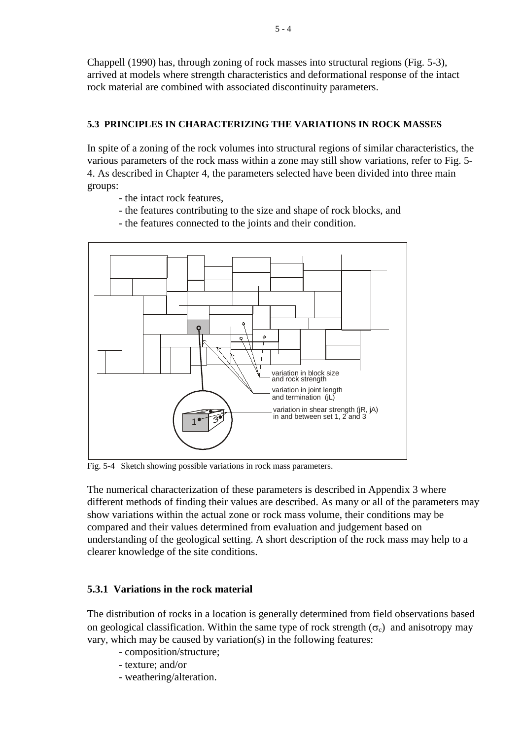Chappell (1990) has, through zoning of rock masses into structural regions (Fig. 5-3), arrived at models where strength characteristics and deformational response of the intact rock material are combined with associated discontinuity parameters.

## **5.3 PRINCIPLES IN CHARACTERIZING THE VARIATIONS IN ROCK MASSES**

In spite of a zoning of the rock volumes into structural regions of similar characteristics, the various parameters of the rock mass within a zone may still show variations, refer to Fig. 5- 4. As described in Chapter 4, the parameters selected have been divided into three main groups:

- the intact rock features,
- the features contributing to the size and shape of rock blocks, and
- the features connected to the joints and their condition.



Fig. 5-4 Sketch showing possible variations in rock mass parameters.

The numerical characterization of these parameters is described in Appendix 3 where different methods of finding their values are described. As many or all of the parameters may show variations within the actual zone or rock mass volume, their conditions may be compared and their values determined from evaluation and judgement based on understanding of the geological setting. A short description of the rock mass may help to a clearer knowledge of the site conditions.

### **5.3.1 Variations in the rock material**

The distribution of rocks in a location is generally determined from field observations based on geological classification. Within the same type of rock strength  $(\sigma_c)$  and anisotropy may vary, which may be caused by variation(s) in the following features:

- composition/structure;
- texture; and/or
- weathering/alteration.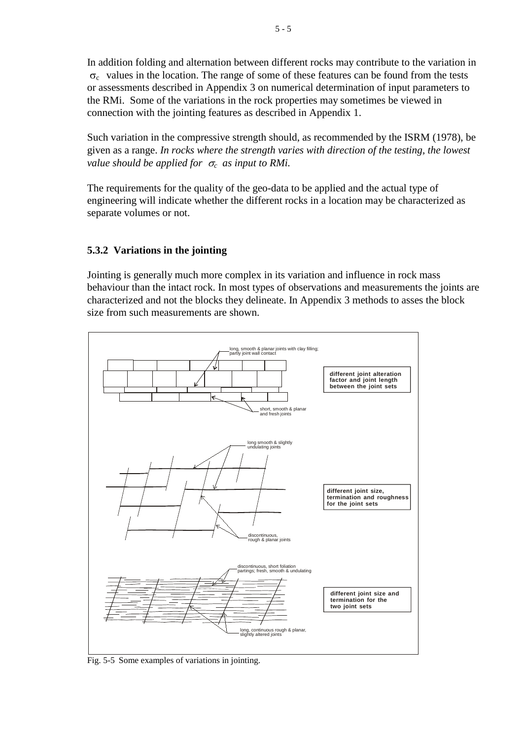In addition folding and alternation between different rocks may contribute to the variation in  $\sigma_c$  values in the location. The range of some of these features can be found from the tests or assessments described in Appendix 3 on numerical determination of input parameters to the RMi. Some of the variations in the rock properties may sometimes be viewed in connection with the jointing features as described in Appendix 1.

Such variation in the compressive strength should, as recommended by the ISRM (1978), be given as a range. *In rocks where the strength varies with direction of the testing, the lowest value should be applied for*  $\sigma_c$  *as input to RMi.* 

The requirements for the quality of the geo-data to be applied and the actual type of engineering will indicate whether the different rocks in a location may be characterized as separate volumes or not.

# **5.3.2 Variations in the jointing**

Jointing is generally much more complex in its variation and influence in rock mass behaviour than the intact rock. In most types of observations and measurements the joints are characterized and not the blocks they delineate. In Appendix 3 methods to asses the block size from such measurements are shown.



Fig. 5-5 Some examples of variations in jointing.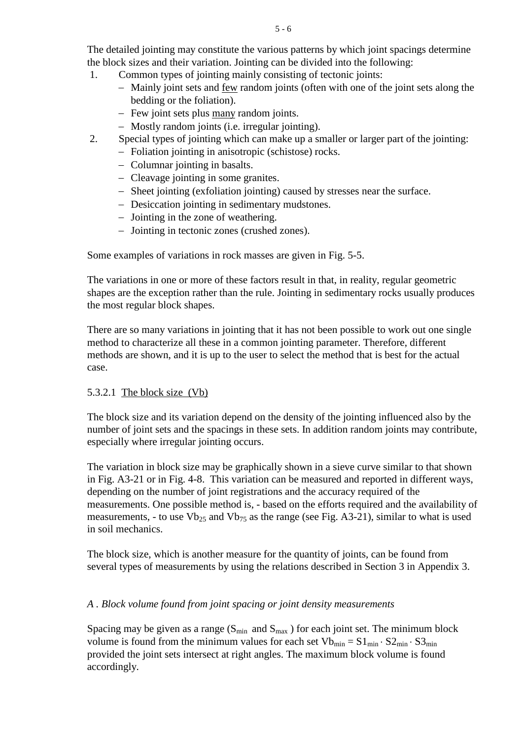The detailed jointing may constitute the various patterns by which joint spacings determine the block sizes and their variation. Jointing can be divided into the following:

- 1. Common types of jointing mainly consisting of tectonic joints:
	- − Mainly joint sets and few random joints (often with one of the joint sets along the bedding or the foliation).
	- − Few joint sets plus many random joints.
	- − Mostly random joints (i.e. irregular jointing).
- 2. Special types of jointing which can make up a smaller or larger part of the jointing:
	- − Foliation jointing in anisotropic (schistose) rocks.
	- − Columnar jointing in basalts.
	- − Cleavage jointing in some granites.
	- − Sheet jointing (exfoliation jointing) caused by stresses near the surface.
	- − Desiccation jointing in sedimentary mudstones.
	- − Jointing in the zone of weathering.
	- − Jointing in tectonic zones (crushed zones).

Some examples of variations in rock masses are given in Fig. 5-5.

The variations in one or more of these factors result in that, in reality, regular geometric shapes are the exception rather than the rule. Jointing in sedimentary rocks usually produces the most regular block shapes.

There are so many variations in jointing that it has not been possible to work out one single method to characterize all these in a common jointing parameter. Therefore, different methods are shown, and it is up to the user to select the method that is best for the actual case.

# 5.3.2.1 The block size (Vb)

The block size and its variation depend on the density of the jointing influenced also by the number of joint sets and the spacings in these sets. In addition random joints may contribute, especially where irregular jointing occurs.

The variation in block size may be graphically shown in a sieve curve similar to that shown in Fig. A3-21 or in Fig. 4-8. This variation can be measured and reported in different ways, depending on the number of joint registrations and the accuracy required of the measurements. One possible method is, - based on the efforts required and the availability of measurements, - to use  $Vb_{25}$  and  $Vb_{75}$  as the range (see Fig. A3-21), similar to what is used in soil mechanics.

The block size, which is another measure for the quantity of joints, can be found from several types of measurements by using the relations described in Section 3 in Appendix 3.

# *A . Block volume found from joint spacing or joint density measurements*

Spacing may be given as a range ( $S_{min}$  and  $S_{max}$ ) for each joint set. The minimum block volume is found from the minimum values for each set  $Vb_{min} = S1_{min} \cdot S2_{min} \cdot S3_{min}$ provided the joint sets intersect at right angles. The maximum block volume is found accordingly.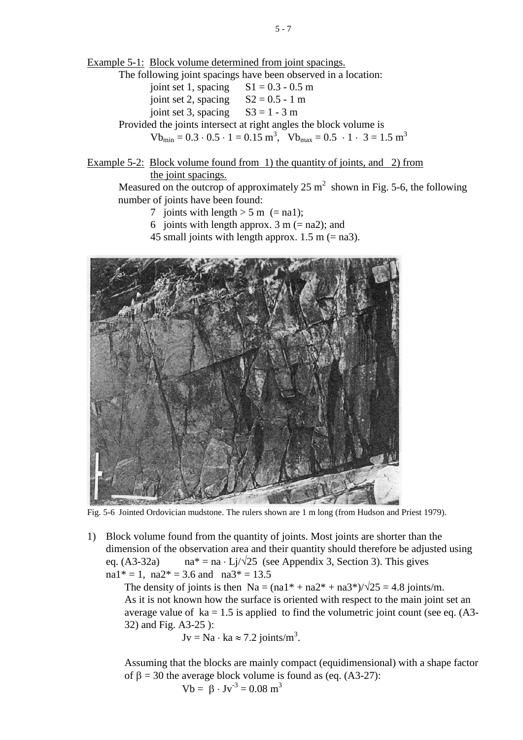The following joint spacings have been observed in a location:

- joint set 1, spacing  $S1 = 0.3 0.5$  m joint set 2, spacing  $S2 = 0.5 - 1$  m
- joint set 3, spacing  $S3 = 1 3$  m

Provided the joints intersect at right angles the block volume is

 $\text{Vb}_{\text{min}} = 0.3 \cdot 0.5 \cdot 1 = 0.15 \text{ m}^3$ ,  $\text{Vb}_{\text{max}} = 0.5 \cdot 1 \cdot 3 = 1.5 \text{ m}^3$ 

Example 5-2: Block volume found from 1) the quantity of joints, and 2) from the joint spacings.

Measured on the outcrop of approximately 25  $m^2$  shown in Fig. 5-6, the following number of joints have been found:

- 7 joints with length  $> 5$  m (= na1);
- 6 joints with length approx.  $3 \text{ m} (= \text{na2})$ ; and
- 45 small joints with length approx.  $1.5$  m (= na3).



Fig. 5-6 Jointed Ordovician mudstone. The rulers shown are 1 m long (from Hudson and Priest 1979).

1) Block volume found from the quantity of joints. Most joints are shorter than the dimension of the observation area and their quantity should therefore be adjusted using eq. (A3-32a) na\* = na ⋅ Lj/ $\sqrt{25}$  (see Appendix 3, Section 3). This gives na1\* = 1, na2\* = 3.6 and na3\* = 13.5

The density of joints is then  $Na = (na1^* + na2^* + na3^*)/\sqrt{25} = 4.8$  joints/m. As it is not known how the surface is oriented with respect to the main joint set an average value of  $ka = 1.5$  is applied to find the volumetric joint count (see eq.  $(A3-)$ 32) and Fig. A3-25 ):

$$
Jv = Na \cdot ka \approx 7.2 \text{ joints/m}^3
$$
.

Assuming that the blocks are mainly compact (equidimensional) with a shape factor of  $β = 30$  the average block volume is found as (eq. (A3-27): Vb =  $\beta$  · Jv<sup>-3</sup> = 0.08 m<sup>3</sup>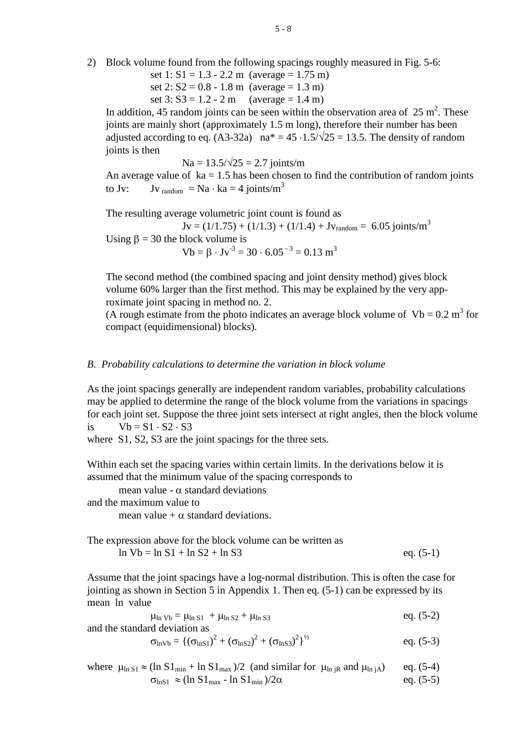2) Block volume found from the following spacings roughly measured in Fig. 5-6:

set  $1: S1 = 1.3 - 2.2$  m (average = 1.75 m) set 2:  $S2 = 0.8 - 1.8$  m (average = 1.3 m) set  $3: S3 = 1.2 - 2 m$  (average = 1.4 m)

In addition, 45 random joints can be seen within the observation area of  $25 \text{ m}^2$ . These joints are mainly short (approximately 1.5 m long), therefore their number has been adjusted according to eq. (A3-32a) na<sup>\*</sup> =  $45 \cdot 1.5/\sqrt{25} = 13.5$ . The density of random joints is then

 $Na = 13.5/\sqrt{25} = 2.7$  joints/m

An average value of  $ka = 1.5$  has been chosen to find the contribution of random joints to Jv: Jv  $_{\text{random}} = \text{Na} \cdot \text{ka} = 4 \text{ joints/m}^3$ 

The resulting average volumetric joint count is found as  $Jv = (1/1.75) + (1/1.3) + (1/1.4) + Jv_{random} = 6.05$  joints/m<sup>3</sup> Using  $\beta = 30$  the block volume is

Vb = β  $\cdot$  Jv<sup>-3</sup> = 30  $\cdot$  6.05<sup>-3</sup> = 0.13 m<sup>3</sup>

The second method (the combined spacing and joint density method) gives block volume 60% larger than the first method. This may be explained by the very approximate joint spacing in method no. 2.

(A rough estimate from the photo indicates an average block volume of  $Vb = 0.2$  m<sup>3</sup> for compact (equidimensional) blocks).

### *B. Probability calculations to determine the variation in block volume*

As the joint spacings generally are independent random variables, probability calculations may be applied to determine the range of the block volume from the variations in spacings for each joint set. Suppose the three joint sets intersect at right angles, then the block volume

is 
$$
Vb = S1 \cdot S2 \cdot S3
$$

where S1, S2, S3 are the joint spacings for the three sets.

Within each set the spacing varies within certain limits. In the derivations below it is assumed that the minimum value of the spacing corresponds to

mean value -  $\alpha$  standard deviations

and the maximum value to

mean value +  $\alpha$  standard deviations.

The expression above for the block volume can be written as  $\ln Vb = \ln S1 + \ln S2 + \ln S3$  eq. (5-1)

Assume that the joint spacings have a log-normal distribution. This is often the case for jointing as shown in Section 5 in Appendix 1. Then eq. (5-1) can be expressed by its mean ln value

 $\mu_{\text{ln Vb}} = \mu_{\text{ln S1}} + \mu_{\text{ln S2}} + \mu_{\text{ln S3}}$  eq. (5-2) and the standard deviation as

$$
\sigma_{\ln Vb} = \{ (\sigma_{\ln S1})^2 + (\sigma_{\ln S2})^2 + (\sigma_{\ln S3})^2 \}^{1/2}
$$
 eq. (5-3)

where 
$$
\mu_{\ln S1} \approx (\ln S1_{\min} + \ln S1_{\max})/2
$$
 (and similar for  $\mu_{\ln jR}$  and  $\mu_{\ln jA}$ ) eq. (5-4)  
\n $\sigma_{\ln S1} \approx (\ln S1_{\max} - \ln S1_{\min})/2\alpha$  eq. (5-5)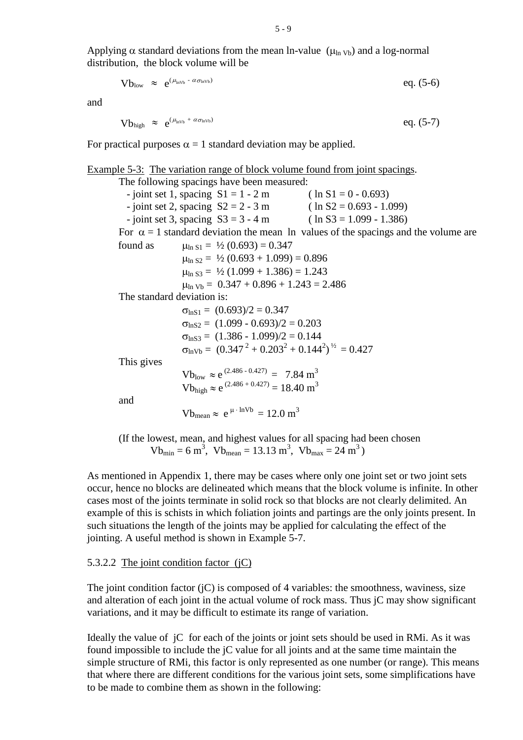$$
Vb_{low} \approx e^{(\mu_{invb} - \alpha \sigma_{invb})}
$$
 eq. (5-6)

and

$$
Vb_{high} \approx e^{(\mu_{invb} + \alpha \sigma_{Invb})} \qquad \qquad eq. (5-7)
$$

For practical purposes  $\alpha = 1$  standard deviation may be applied.

Example 5-3: The variation range of block volume found from joint spacings. The following spacings have been measured:  $-$  joint set 1, spacing  $S1 = 1 - 2$  m ( ln S1 = 0 - 0.693)  $-$  joint set 2, spacing  $S2 = 2 - 3$  m (ln S2 = 0.693 - 1.099)  $-$  joint set 3, spacing  $S3 = 3 - 4$  m (ln S3 = 1.099 - 1.386) For  $\alpha = 1$  standard deviation the mean ln values of the spacings and the volume are found as  $\mu_{\ln S1} = \frac{1}{2} (0.693) = 0.347$  $\mu_{\ln S2} = \frac{1}{2} (0.693 + 1.099) = 0.896$  $\mu$ <sub>ln S3</sub> = ½ (1.099 + 1.386) = 1.243  $\mu_{\text{ln Vb}} = 0.347 + 0.896 + 1.243 = 2.486$ The standard deviation is:  $\sigma_{\text{lnS1}} = (0.693)/2 = 0.347$  $\sigma_{\text{lnS2}} = (1.099 - 0.693)/2 = 0.203$  $\sigma_{\text{lnS3}} = (1.386 - 1.099)/2 = 0.144$  $\sigma_{\text{lnVb}} = (0.347^2 + 0.203^2 + 0.144^2)^{1/2} = 0.427$ This gives  $Vb<sub>low</sub> \approx e^{(2.486 - 0.427)} = 7.84 \text{ m}^3$  $Vb_{\text{high}} \approx e^{(2.486 + 0.427)} = 18.40 \text{ m}^3$ and  $Vb_{\text{mean}} \approx e^{\mu \cdot \ln Vb} = 12.0 \text{ m}^3$ 

(If the lowest, mean, and highest values for all spacing had been chosen  $Vb_{\text{min}} = 6 \text{ m}^3$ ,  $Vb_{\text{mean}} = 13.13 \text{ m}^3$ ,  $Vb_{\text{max}} = 24 \text{ m}^3$ )

As mentioned in Appendix 1, there may be cases where only one joint set or two joint sets occur, hence no blocks are delineated which means that the block volume is infinite. In other cases most of the joints terminate in solid rock so that blocks are not clearly delimited. An example of this is schists in which foliation joints and partings are the only joints present. In such situations the length of the joints may be applied for calculating the effect of the jointing. A useful method is shown in Example 5-7.

### 5.3.2.2 The joint condition factor (jC)

The joint condition factor  $(iC)$  is composed of 4 variables: the smoothness, waviness, size and alteration of each joint in the actual volume of rock mass. Thus jC may show significant variations, and it may be difficult to estimate its range of variation.

Ideally the value of jC for each of the joints or joint sets should be used in RMi. As it was found impossible to include the jC value for all joints and at the same time maintain the simple structure of RMi, this factor is only represented as one number (or range). This means that where there are different conditions for the various joint sets, some simplifications have to be made to combine them as shown in the following: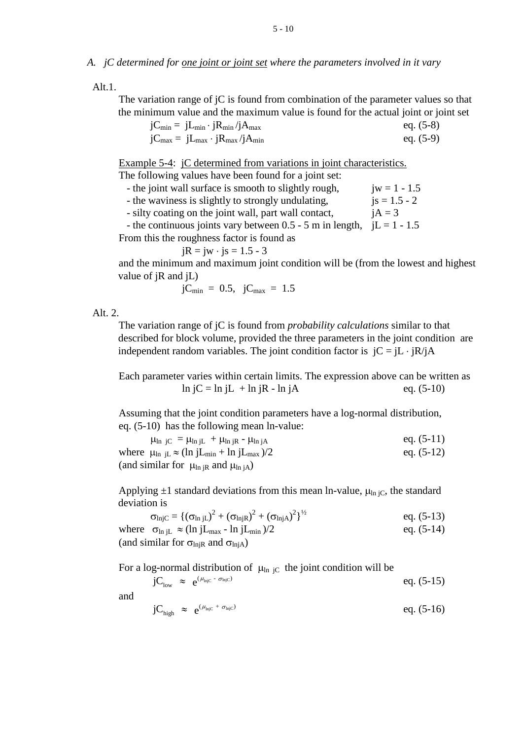### *A. jC determined for one joint or joint set where the parameters involved in it vary*

Alt.1.

The variation range of jC is found from combination of the parameter values so that the minimum value and the maximum value is found for the actual joint or joint set

| $jC_{min} = jL_{min} \cdot jR_{min}/jA_{max}$ | eq. $(5-8)$ |
|-----------------------------------------------|-------------|
| $jC_{max} = jL_{max} \cdot jR_{max}/jA_{min}$ | eq. $(5-9)$ |

Example 5-4: jC determined from variations in joint characteristics.

The following values have been found for a joint set:

|  |  |  | - the joint wall surface is smooth to slightly rough, | $jw = 1 - 1.5$ |  |
|--|--|--|-------------------------------------------------------|----------------|--|
|  |  |  |                                                       |                |  |

- the waviness is slightly to strongly undulating,  $i s = 1.5 - 2$ 

- silty coating on the joint wall, part wall contact,  $iA = 3$ 

- the continuous joints vary between 0.5 - 5 m in length,  $iL = 1 - 1.5$ 

From this the roughness factor is found as

$$
jR = jw \cdot js = 1.5 - 3
$$

and the minimum and maximum joint condition will be (from the lowest and highest value of jR and jL)

$$
jC_{min} = 0.5, \ jC_{max} = 1.5
$$

### Alt. 2.

The variation range of jC is found from *probability calculations* similar to that described for block volume, provided the three parameters in the joint condition are independent random variables. The joint condition factor is  $iC = iL \cdot iR/iA$ 

Each parameter varies within certain limits. The expression above can be written as  $\ln jC = \ln jL + \ln jR - \ln jA$  eq. (5-10)

Assuming that the joint condition parameters have a log-normal distribution, eq. (5-10) has the following mean ln-value:

| $\mu_{\text{ln}}$ jC = $\mu_{\text{ln}}$ jL + $\mu_{\text{ln}}$ jR - $\mu_{\text{ln}}$ jA         | eq. $(5-11)$ |
|---------------------------------------------------------------------------------------------------|--------------|
| where $\mu_{\text{ln}}$ i <sub>L</sub> $\approx$ (ln jL <sub>min</sub> + ln jL <sub>max</sub> )/2 | eq. $(5-12)$ |
| (and similar for $\mu_{\text{ln}}$ jR and $\mu_{\text{ln}}$ jA)                                   |              |

Applying  $\pm 1$  standard deviations from this mean ln-value,  $\mu_{\text{ln }i\text{C}}$ , the standard deviation is

$$
\sigma_{lnjC} = \{ (\sigma_{lnjL})^2 + (\sigma_{lnjk})^2 + (\sigma_{lnjA})^2 \}^{1/2}
$$
 eq. (5-13)

where  $\sigma_{\ln jL} \approx (\ln jL_{\text{max}} - \ln jL_{\text{min}})/2$  eq. (5-14)

(and similar for  $\sigma_{\text{ln}iR}$  and  $\sigma_{\text{ln}iA}$ )

For a log-normal distribution of  $\mu_{\text{ln }iC}$  the joint condition will be

$$
jC_{low} \approx e^{(\mu_{injC} - \sigma_{injC})} \qquad \qquad eq. (5-15)
$$

and

$$
jC_{high} \approx e^{(\mu_{high} + \sigma_{high})} \hspace{1cm} \text{eq. (5-16)}
$$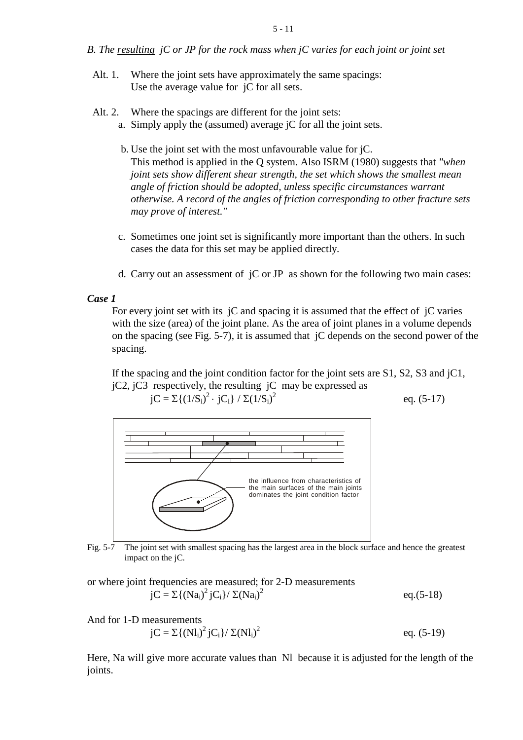*B. The resulting jC or JP for the rock mass when jC varies for each joint or joint set*

- Alt. 1. Where the joint sets have approximately the same spacings: Use the average value for jC for all sets.
- Alt. 2. Where the spacings are different for the joint sets:
	- a. Simply apply the (assumed) average jC for all the joint sets.
	- b. Use the joint set with the most unfavourable value for jC. This method is applied in the Q system. Also ISRM (1980) suggests that *"when joint sets show different shear strength, the set which shows the smallest mean angle of friction should be adopted, unless specific circumstances warrant otherwise. A record of the angles of friction corresponding to other fracture sets may prove of interest."*
	- c. Sometimes one joint set is significantly more important than the others. In such cases the data for this set may be applied directly.
	- d. Carry out an assessment of jC or JP as shown for the following two main cases:

### *Case 1*

For every joint set with its jC and spacing it is assumed that the effect of jC varies with the size (area) of the joint plane. As the area of joint planes in a volume depends on the spacing (see Fig. 5-7), it is assumed that jC depends on the second power of the spacing.

If the spacing and the joint condition factor for the joint sets are S1, S2, S3 and jC1,  $jC2$ ,  $jC3$  respectively, the resulting  $jC$  may be expressed as

$$
jC = \Sigma \{(1/S_i)^2 \cdot jC_i\} / \Sigma (1/S_i)^2
$$

eq. (5-17)

 $eq.(5-18)$ 



Fig. 5-7 The joint set with smallest spacing has the largest area in the block surface and hence the greatest impact on the jC.

or where joint frequencies are measured; for 2-D measurements  $jC = \sum \{ (Na_i)^2 jC_i \} / \sum (Na_i)$ 

And for 1-D measurements  
\n
$$
jC = \sum \{ (Nl_i)^2 jC_i \} / \sum (Nl_i)^2
$$
\neq. (5-19)

Here, Na will give more accurate values than Nl because it is adjusted for the length of the joints.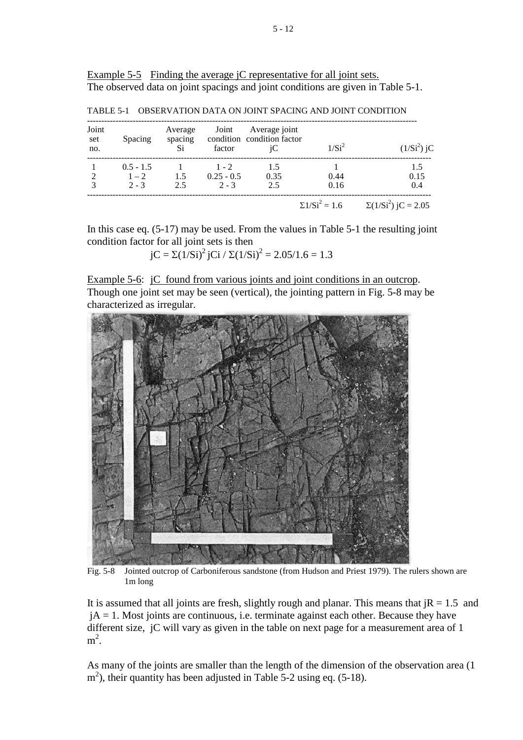Example 5-5 Finding the average *jC* representative for all joint sets. The observed data on joint spacings and joint conditions are given in Table 5-1.

| Joint<br>set<br>no. | Spacing     | Average<br>spacing<br>Si | Joint<br>factor | Average joint<br>condition condition factor<br>iС | 1/Si <sup>2</sup>     | $(1/Si^2)$ jC              |
|---------------------|-------------|--------------------------|-----------------|---------------------------------------------------|-----------------------|----------------------------|
|                     | $0.5 - 1.5$ |                          | $1 - 2$         | 1.5                                               |                       | 1.5                        |
| 2                   | $1 - 2$     | 1.5                      | $0.25 - 0.5$    | 0.35                                              | 0.44                  | 0.15                       |
| 3                   | $2 - 3$     | 2.5                      | $2 - 3$         | 2.5                                               | 0.16                  | 0.4                        |
|                     |             |                          |                 |                                                   | $\Sigma 1/Si^2 = 1.6$ | $\Sigma(1/Si^2)$ jC = 2.05 |

TABLE 5-1 OBSERVATION DATA ON JOINT SPACING AND JOINT CONDITION

In this case eq. (5-17) may be used. From the values in Table 5-1 the resulting joint condition factor for all joint sets is then

jC =  $\Sigma(1/Si)^2$  jCi /  $\Sigma(1/Si)^2$  = 2.05/1.6 = 1.3

Example 5-6: *jC* found from various joints and joint conditions in an outcrop. Though one joint set may be seen (vertical), the jointing pattern in Fig. 5-8 may be characterized as irregular.



Fig. 5-8 Jointed outcrop of Carboniferous sandstone (from Hudson and Priest 1979). The rulers shown are 1m long

It is assumed that all joints are fresh, slightly rough and planar. This means that  $iR = 1.5$  and  $jA = 1$ . Most joints are continuous, i.e. terminate against each other. Because they have different size, jC will vary as given in the table on next page for a measurement area of 1  $m^2$ .

As many of the joints are smaller than the length of the dimension of the observation area (1  $m<sup>2</sup>$ ), their quantity has been adjusted in Table 5-2 using eq. (5-18).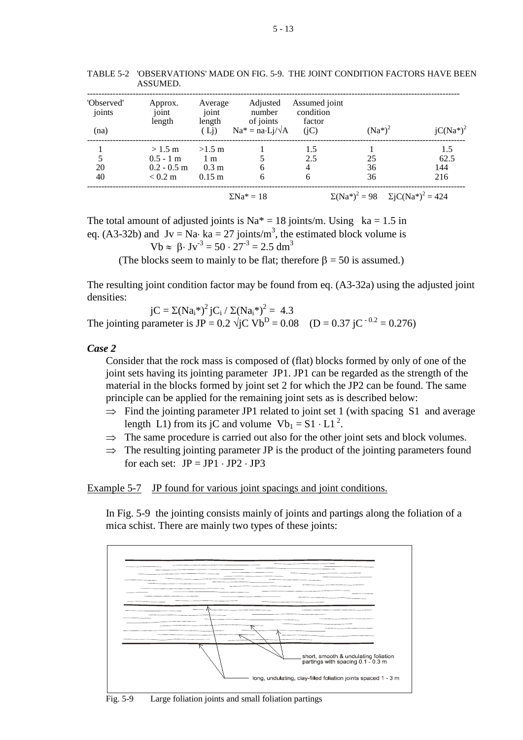| 'Observed'<br>joints | Approx.<br>joint | Average<br>joint | Adjusted<br>number                         | Assumed joint<br>condition |                                                 |              |
|----------------------|------------------|------------------|--------------------------------------------|----------------------------|-------------------------------------------------|--------------|
| (na)                 | length           | length<br>(Lj)   | of joints<br>$Na^* = na \cdot Lj/\sqrt{A}$ | factor<br>(iC)             | $(Na^*)^2$                                      | $jC(Na^*)^2$ |
|                      | $>1.5 \text{ m}$ | $>1.5$ m         |                                            | 1.5                        |                                                 | 1.5          |
| 5                    | $0.5 - 1$ m      | 1 <sub>m</sub>   |                                            | 2.5                        | 25                                              | 62.5         |
| 20                   | $0.2 - 0.5$ m    | $0.3 \text{ m}$  | 6                                          | 4                          | 36                                              | 144          |
| 40                   | $< 0.2$ m        | $0.15 \;{\rm m}$ | 6                                          | 6                          | 36                                              | 216          |
|                      |                  |                  | $\Sigma$ Na <sup>*</sup> = 18              |                            | $\Sigma(Na^*)^2 = 98$ $\Sigma jC(Na^*)^2 = 424$ |              |

TABLE 5-2 'OBSERVATIONS' MADE ON FIG. 5-9. THE JOINT CONDITION FACTORS HAVE BEEN ASSUMED.

The total amount of adjusted joints is  $Na^* = 18$  joints/m. Using ka = 1.5 in eq. (A3-32b) and  $Jv = Na· ka = 27$  joints/m<sup>3</sup>, the estimated block volume is

Vb  $\approx$  8. Jv<sup>-3</sup> = 50 · 27<sup>-3</sup> = 2.5 dm<sup>3</sup>

(The blocks seem to mainly to be flat; therefore  $\beta = 50$  is assumed.)

The resulting joint condition factor may be found from eq. (A3-32a) using the adjusted joint densities:

 $jC = \Sigma(Na_i^*)^2 iC_i / \Sigma(Na_i^*)^2 = 4.3$ The jointing parameter is JP =  $0.2 \sqrt{\text{iC}}$  Vb<sup>D</sup> =  $0.08$  (D =  $0.37 \text{ iC}^{-0.2}$  = 0.276)

#### *Case 2*

Consider that the rock mass is composed of (flat) blocks formed by only of one of the joint sets having its jointing parameter JP1. JP1 can be regarded as the strength of the material in the blocks formed by joint set 2 for which the JP2 can be found. The same principle can be applied for the remaining joint sets as is described below:

- $\Rightarrow$  Find the jointing parameter JP1 related to joint set 1 (with spacing S1 and average length L1) from its jC and volume  $Vb_1 = S1 \cdot L1^2$ .
- $\Rightarrow$  The same procedure is carried out also for the other joint sets and block volumes.
- $\Rightarrow$  The resulting jointing parameter JP is the product of the jointing parameters found for each set:  $JP = JP1 \cdot JP2 \cdot JP3$

Example 5-7 JP found for various joint spacings and joint conditions.

In Fig. 5-9 the jointing consists mainly of joints and partings along the foliation of a mica schist. There are mainly two types of these joints:



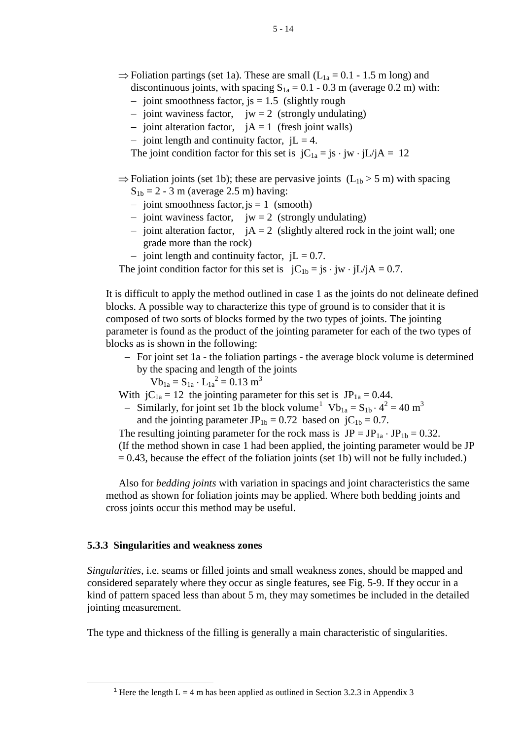- $\Rightarrow$  Foliation partings (set 1a). These are small (L<sub>1a</sub> = 0.1 1.5 m long) and discontinuous joints, with spacing  $S_{1a} = 0.1 - 0.3$  m (average 0.2 m) with:
	- − joint smoothness factor, js = 1.5 (slightly rough
	- − joint waviness factor, jw = 2 (strongly undulating)
	- − joint alteration factor, jA = 1 (fresh joint walls)
	- $\overline{-}$  joint length and continuity factor, jL = 4.

The joint condition factor for this set is  $jC_{1a} = jS \cdot jW \cdot jL/IA = 12$ 

 $\Rightarrow$  Foliation joints (set 1b); these are pervasive joints (L<sub>1b</sub> > 5 m) with spacing  $S_{1b} = 2 - 3$  m (average 2.5 m) having:

- − joint smoothness factor,js = 1 (smooth)
- − joint waviness factor, jw = 2 (strongly undulating)
- − joint alteration factor, jA = 2 (slightly altered rock in the joint wall; one grade more than the rock)
- $-$  joint length and continuity factor, jL = 0.7.

The joint condition factor for this set is  $jC_{1b} = js \cdot jw \cdot jL/jA = 0.7$ .

It is difficult to apply the method outlined in case 1 as the joints do not delineate defined blocks. A possible way to characterize this type of ground is to consider that it is composed of two sorts of blocks formed by the two types of joints. The jointing parameter is found as the product of the jointing parameter for each of the two types of blocks as is shown in the following:

− For joint set 1a - the foliation partings - the average block volume is determined by the spacing and length of the joints

$$
Vb_{1a} = S_{1a} \cdot L_{1a}^{2} = 0.13 \text{ m}^{3}
$$

With  $jC_{1a} = 12$  the jointing parameter for this set is  $JP_{1a} = 0.44$ .

- Similarly, for joint set [1](#page-13-0)b the block volume<sup>1</sup>  $Vb_{1a} = S_{1b} \cdot 4^2 = 40 \text{ m}^3$ and the jointing parameter JP<sub>1b</sub> = 0.72 based on jC<sub>1b</sub> = 0.7.

The resulting jointing parameter for the rock mass is  $JP = JP_{1a} \cdot JP_{1b} = 0.32$ . (If the method shown in case 1 had been applied, the jointing parameter would be JP  $= 0.43$ , because the effect of the foliation joints (set 1b) will not be fully included.)

Also for *bedding joints* with variation in spacings and joint characteristics the same method as shown for foliation joints may be applied. Where both bedding joints and cross joints occur this method may be useful.

### **5.3.3 Singularities and weakness zones**

<span id="page-13-0"></span>ī

*Singularities*, i.e. seams or filled joints and small weakness zones, should be mapped and considered separately where they occur as single features, see Fig. 5-9. If they occur in a kind of pattern spaced less than about 5 m, they may sometimes be included in the detailed jointing measurement.

The type and thickness of the filling is generally a main characteristic of singularities.

<sup>&</sup>lt;sup>1</sup> Here the length L = 4 m has been applied as outlined in Section 3.2.3 in Appendix 3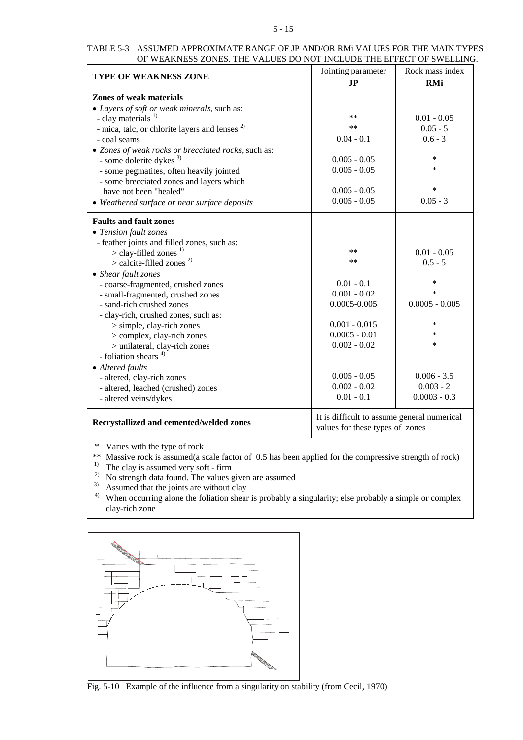#### 5 - 15

### TABLE 5-3 ASSUMED APPROXIMATE RANGE OF JP AND/OR RMi VALUES FOR THE MAIN TYPES OF WEAKNESS ZONES. THE VALUES DO NOT INCLUDE THE EFFECT OF SWELLING.

| <b>TYPE OF WEAKNESS ZONE</b>                              | Jointing parameter<br><b>JP</b>                                                | Rock mass index<br><b>RMi</b> |  |
|-----------------------------------------------------------|--------------------------------------------------------------------------------|-------------------------------|--|
|                                                           |                                                                                |                               |  |
| <b>Zones of weak materials</b>                            |                                                                                |                               |  |
| • Layers of soft or weak minerals, such as:               |                                                                                |                               |  |
| - clay materials $^{1)}$                                  | **                                                                             | $0.01 - 0.05$                 |  |
| - mica, talc, or chlorite layers and lenses <sup>2)</sup> | $***$                                                                          | $0.05 - 5$                    |  |
| - coal seams                                              | $0.04 - 0.1$                                                                   | $0.6 - 3$                     |  |
| • Zones of weak rocks or brecciated rocks, such as:       |                                                                                |                               |  |
| - some dolerite dykes $3)$                                | $0.005 - 0.05$                                                                 | $\ast$                        |  |
| - some pegmatites, often heavily jointed                  | $0.005 - 0.05$                                                                 | $\ast$                        |  |
| - some brecciated zones and layers which                  |                                                                                |                               |  |
| have not been "healed"                                    | $0.005 - 0.05$                                                                 | $\ast$                        |  |
| • Weathered surface or near surface deposits              | $0.005 - 0.05$                                                                 | $0.05 - 3$                    |  |
| <b>Faults and fault zones</b>                             |                                                                                |                               |  |
| • Tension fault zones                                     |                                                                                |                               |  |
| - feather joints and filled zones, such as:               |                                                                                |                               |  |
| $>$ clay-filled zones <sup>1)</sup>                       | **                                                                             | $0.01 - 0.05$                 |  |
| $>$ calcite-filled zones <sup>2)</sup>                    | $***$                                                                          | $0.5 - 5$                     |  |
| • Shear fault zones                                       |                                                                                |                               |  |
| - coarse-fragmented, crushed zones                        | $0.01 - 0.1$                                                                   | $\ast$                        |  |
| - small-fragmented, crushed zones                         | $0.001 - 0.02$                                                                 | $\ast$                        |  |
| - sand-rich crushed zones                                 | $0.0005 - 0.005$                                                               | $0.0005 - 0.005$              |  |
| - clay-rich, crushed zones, such as:                      |                                                                                |                               |  |
| $>$ simple, clay-rich zones                               | $0.001 - 0.015$                                                                | $\ast$                        |  |
| > complex, clay-rich zones                                | $0.0005 - 0.01$                                                                | $\ast$                        |  |
| > unilateral, clay-rich zones                             | $0.002 - 0.02$                                                                 | $\ast$                        |  |
| - foliation shears <sup>4)</sup>                          |                                                                                |                               |  |
| • Altered faults                                          |                                                                                |                               |  |
| - altered, clay-rich zones                                | $0.005 - 0.05$                                                                 | $0.006 - 3.5$                 |  |
| - altered, leached (crushed) zones                        | $0.002 - 0.02$                                                                 | $0.003 - 2$                   |  |
| - altered veins/dykes                                     | $0.01 - 0.1$                                                                   | $0.0003 - 0.3$                |  |
| Recrystallized and cemented/welded zones                  | It is difficult to assume general numerical<br>values for these types of zones |                               |  |

\* Varies with the type of rock

\*\* Massive rock is assumed(a scale factor of 0.5 has been applied for the compressive strength of rock)

<sup>1)</sup> The clay is assumed very soft - firm

 $^{2)}$  No strength data found. The values given are assumed

- $3)$  Assumed that the joints are without clay
- 4) When occurring alone the foliation shear is probably a singularity; else probably a simple or complex clay-rich zone



Fig. 5-10 Example of the influence from a singularity on stability (from Cecil, 1970)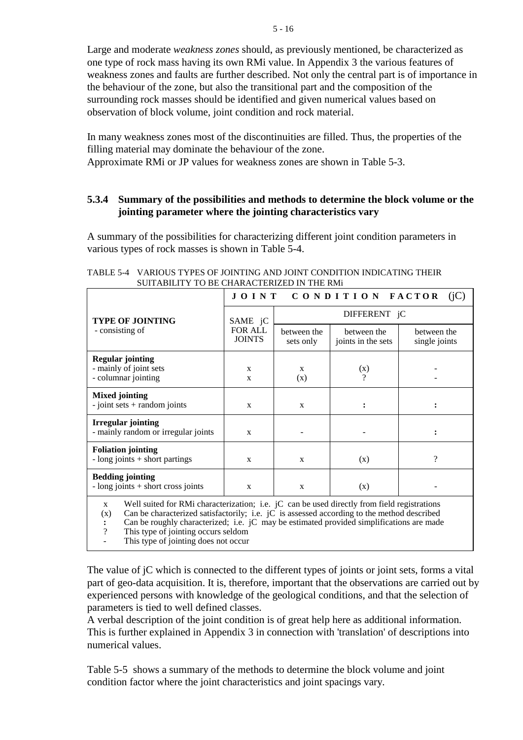Large and moderate *weakness zones* should, as previously mentioned, be characterized as one type of rock mass having its own RMi value. In Appendix 3 the various features of weakness zones and faults are further described. Not only the central part is of importance in the behaviour of the zone, but also the transitional part and the composition of the surrounding rock masses should be identified and given numerical values based on observation of block volume, joint condition and rock material.

In many weakness zones most of the discontinuities are filled. Thus, the properties of the filling material may dominate the behaviour of the zone.

Approximate RMi or JP values for weakness zones are shown in Table 5-3.

# **5.3.4 Summary of the possibilities and methods to determine the block volume or the jointing parameter where the jointing characteristics vary**

A summary of the possibilities for characterizing different joint condition parameters in various types of rock masses is shown in Table 5-4.

|                                                                                                             | CONDITION FACTOR<br>JOINT<br>(iC) |                          |                                   |                              |  |  |
|-------------------------------------------------------------------------------------------------------------|-----------------------------------|--------------------------|-----------------------------------|------------------------------|--|--|
| <b>TYPE OF JOINTING</b>                                                                                     | SAME jC                           | DIFFERENT jC             |                                   |                              |  |  |
| - consisting of                                                                                             | <b>FOR ALL</b><br><b>JOINTS</b>   | between the<br>sets only | between the<br>joints in the sets | between the<br>single joints |  |  |
| <b>Regular jointing</b><br>- mainly of joint sets<br>- columnar jointing                                    | $\mathbf{x}$<br>$\mathbf{x}$      | X<br>(x)                 | (x)<br>9                          |                              |  |  |
| <b>Mixed jointing</b><br>$-$ joint sets $+$ random joints                                                   | $\mathbf{x}$                      | $\mathbf{x}$             | $\ddot{\phantom{a}}$              |                              |  |  |
| <b>Irregular jointing</b><br>- mainly random or irregular joints                                            | $\mathbf{x}$                      |                          |                                   |                              |  |  |
| <b>Foliation jointing</b><br>$-$ long joints $+$ short partings                                             | $\mathbf{x}$                      | $\mathbf{x}$             | (x)                               | $\overline{\mathcal{L}}$     |  |  |
| <b>Bedding jointing</b><br>$-$ long joints $+$ short cross joints                                           | $\mathbf{x}$                      | X                        | (x)                               |                              |  |  |
| Well suited for RMi characterization; i.e. jC can be used directly from field registrations<br>$\mathbf{x}$ |                                   |                          |                                   |                              |  |  |

TABLE 5-4 VARIOUS TYPES OF JOINTING AND JOINT CONDITION INDICATING THEIR SUITABILITY TO BE CHARACTERIZED IN THE RMi

 $(x)$  Can be characterized satisfactorily; i.e.  $i\overrightarrow{C}$  is assessed according to the method described

**:** Can be roughly characterized; i.e. jC may be estimated provided simplifications are made <br>? This type of jointing occurs seldom

This type of jointing occurs seldom

This type of jointing does not occur

The value of jC which is connected to the different types of joints or joint sets, forms a vital part of geo-data acquisition. It is, therefore, important that the observations are carried out by experienced persons with knowledge of the geological conditions, and that the selection of parameters is tied to well defined classes.

A verbal description of the joint condition is of great help here as additional information. This is further explained in Appendix 3 in connection with 'translation' of descriptions into numerical values.

Table 5-5 shows a summary of the methods to determine the block volume and joint condition factor where the joint characteristics and joint spacings vary.